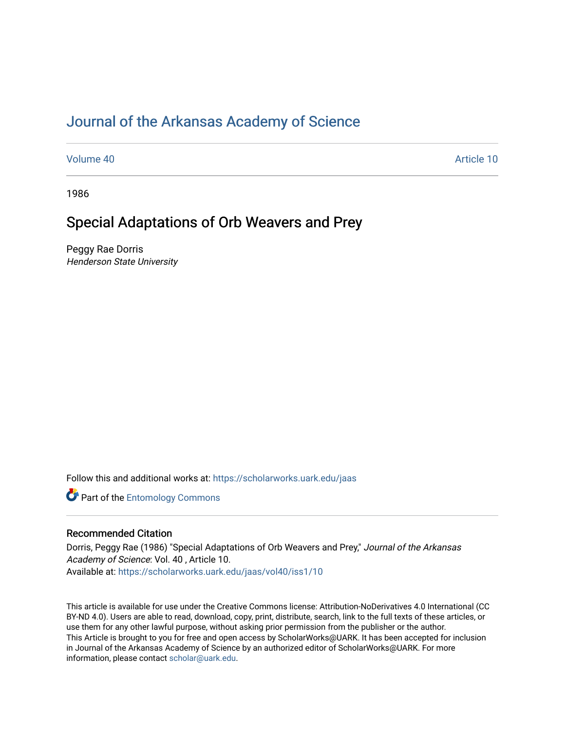# [Journal of the Arkansas Academy of Science](https://scholarworks.uark.edu/jaas)

[Volume 40](https://scholarworks.uark.edu/jaas/vol40) Article 10

1986

# Special Adaptations of Orb Weavers and Prey

Peggy Rae Dorris Henderson State University

Follow this and additional works at: [https://scholarworks.uark.edu/jaas](https://scholarworks.uark.edu/jaas?utm_source=scholarworks.uark.edu%2Fjaas%2Fvol40%2Fiss1%2F10&utm_medium=PDF&utm_campaign=PDFCoverPages) 

**Part of the Entomology Commons** 

## Recommended Citation

Dorris, Peggy Rae (1986) "Special Adaptations of Orb Weavers and Prey," Journal of the Arkansas Academy of Science: Vol. 40 , Article 10. Available at: [https://scholarworks.uark.edu/jaas/vol40/iss1/10](https://scholarworks.uark.edu/jaas/vol40/iss1/10?utm_source=scholarworks.uark.edu%2Fjaas%2Fvol40%2Fiss1%2F10&utm_medium=PDF&utm_campaign=PDFCoverPages)

This article is available for use under the Creative Commons license: Attribution-NoDerivatives 4.0 International (CC BY-ND 4.0). Users are able to read, download, copy, print, distribute, search, link to the full texts of these articles, or use them for any other lawful purpose, without asking prior permission from the publisher or the author. This Article is brought to you for free and open access by ScholarWorks@UARK. It has been accepted for inclusion in Journal of the Arkansas Academy of Science by an authorized editor of ScholarWorks@UARK. For more information, please contact [scholar@uark.edu.](mailto:scholar@uark.edu)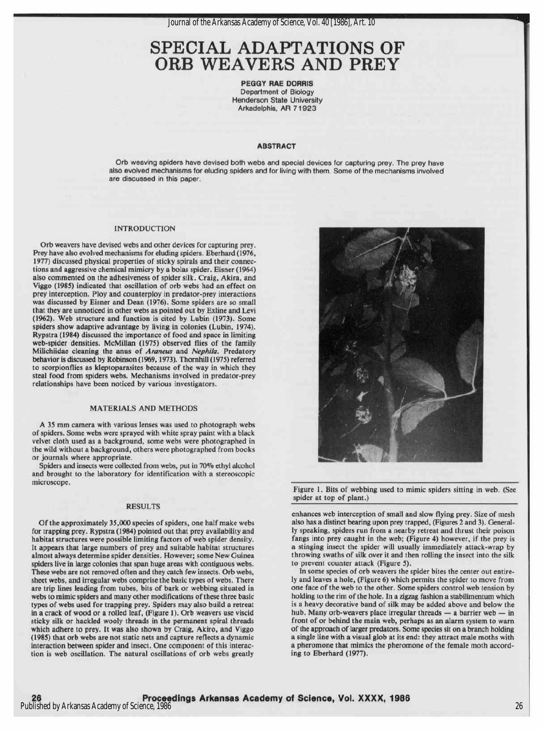Journal of the Arkansas Academy of Science, Vol. 40 [1986], Art. 10

# SPECIAL ADAPTATIONS OF ORB WEAVERS AND PREY

PEGGY RAE DORRIS Department of Biology Henderson State University Arkadelphia, AR 71923

#### ABSTRACT

Orb weaving spiders have devised both webs and special devices for capturing prey. The prey have also evolved mechanisms for eluding spiders and for living with them. Some of the mechanisms involved are discussed in this paper.

#### INTRODUCTION

Orb weavers have devised webs and other devices for capturing prey. Prey have also evolved mechanisms for eluding spiders. Eberhard (1976, 1977) discussed physical properties of sticky spirals and their connections and aggressive chemical mimicry by a bolas spider. Eisner (1964) also commented on the adhesiveness of spider silk. Craig, Akira, and Viggo (1985) indicated that oscillation of orb webs had an effect on prey interception. Ploy and counterploy in predator-prey interactions was discussed by Eisner and Dean (1976). Some spiders are so small that they are unnoticed in other webs as pointed out by Exline and Levi (1962). Web structure and function is cited by Lubin (1973). Some spiders show adaptive advantage by living in colonies (Lubin, 1974). Rypstra (1984) discussed the importance of food and space in limiting web-spider densities. McMillan (1975) observed flies of the family Milichiidae cleaning the anus of Araneus and Nephila. Predatory behavior is discussed by Robinson (1969, 1973). Thornhill (1975) referred to scorpionflies as kleptoparasites because of the way in which they steal food from spiders webs. Mechanisms involved in predator-prey relationships have been noticed by various investigators.

#### MATERIALS AND METHODS

A 35 mm camera with various lenses was used to photograph webs of spiders. Some webs were sprayed with white spray paint with a black velvet cloth used as a background, some webs were photographed in the wild without a background, others were photographed from books or journals where appropriate.

Spiders and insects were collected from webs, put in 70% ethyl alcohol and brought to the laboratory for identification with a stereoscopic microscope.

#### RESULTS

Of the approximately 35,000 species of spiders, one half make webs for trapping prey. Rypstra (1984) pointed out that prey availability and habitat structures were possible limiting factors of web spider density. Itappears that large numbers of prey and suitable habitat structures almost always determine spider densities. However; some New Guinea spiders live in large colonies that span huge areas with contiguous webs. These webs are not removed often and they catch few insects. Orb webs, sheet webs, and irregular webs comprise the basic types of webs. There are trip lines leading from tubes, bits of bark or webbing situated in webs to mimic spiders and many other modifications of these three basic types of webs used for trapping prey. Spiders may also build a retreat in a crack of wood or a rolled leaf, (Figure 1). Orb weavers use viscid sticky silk or hackled wooly threads in the permanent spiral threads which adhere to prey. It was also shown by Craig, Akiro, and Viggo (1985) that orb webs are not static nets and capture reflects a dynamic interaction between spider and insect. One component of this interaction is web oscillation. The natural oscillations of orb webs greatly



Figure 1. Bits of webbing used to mimic spiders sitting in web. (See spider at top of plant.)

enhances web interception of small and slow flying prey. Size of mesh also has a distinct bearing upon prey trapped, (Figures 2 and 3). Generally speaking, spiders run from a nearby retreat and thrust their poison fangs into prey caught in the web; (Figure 4) however, if the prey is a stinging insect the spider will usually immediately attack-wrap by throwing swaths of silk over it and then rolling the insect into the silk to prevent counter attack (Figure 5).

In some species of orb weavers the spider bites the center out entirely and leaves a hole, (Figure 6) which permits the spider to move from one face of the web to the other. Some spiders control web tension by holding to the rim of the hole. In a zigzag fashion a stabilimentum which is a heavy decorative band of silk may be added above and below the hub. Many orb-weavers place irregular threads — <sup>a</sup> barrier web — in front of or behind the main web, perhaps as an alarm system to warn of the approach of larger predators. Some species sit on a branch holding a single line with a visual glob at its end: they attract male moths with a pheromone that mimics the pheromone of the female moth according to Eberhard (1977).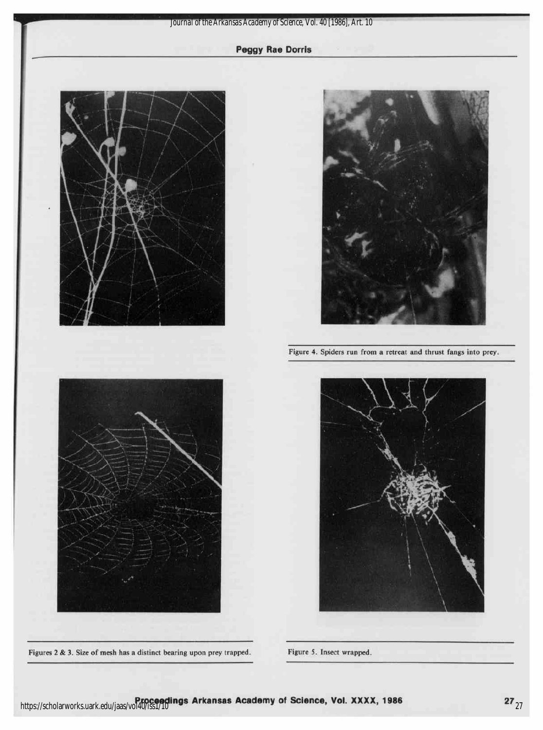

Figures 2 & 3. Size of mesh has a distinct bearing upon prey trapped. Figure 5. Insect wrapped.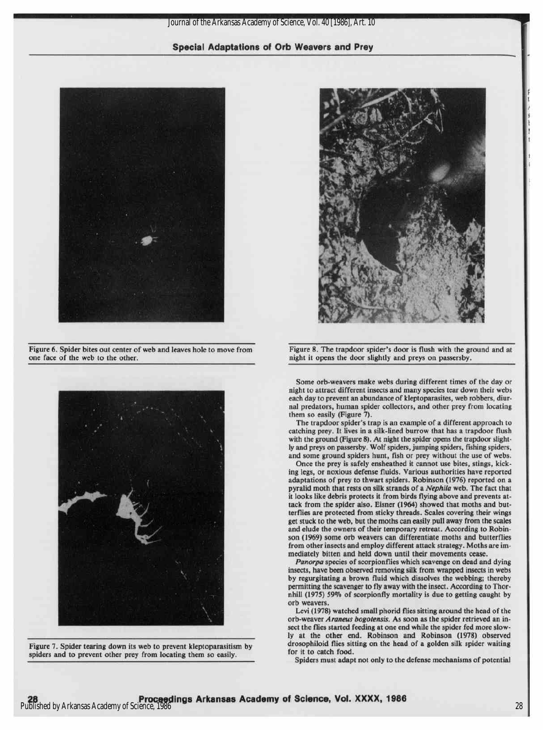Journal of the Arkansas Academy of Science, Vol. 40 [1986], Art. 10

### Special Adaptations of Orb Weavers and Prey



Figure 6. Spider bites out center of web and leaves hole to move from one face of the web to the other.



Figure 7. Spider tearing down its web to prevent kleptoparasitism by spiders and to prevent other prey from locating them so easily.



Figure 8. The trapdoor spider's door is flush with the ground and at night it opens the door slightly and preys on passersby.

Some orb-weavers make webs during different times of the day or night to attract different insects and many species tear down their webs each day to prevent an abundance of kleptoparasites, web robbers, diurnal predators, human spider collectors, and other prey from locating them so easily (Figure 7).

The trapdoor spider's trap is an example of a different approach to catching prey. It lives in a silk-lined burrow that has a trapdoor flush with the ground (Figure 8). At night the spider opens the trapdoor slightly and preys on passersby. Wolf spiders, jumping spiders, fishing spiders, and some ground spiders hunt, fish or prey without the use of webs.

Once the prey is safely ensheathed it cannot use bites, stings, kicking legs, or noxious defense fluids. Various authorities have reported adaptations of prey to thwart spiders. Robinson (1976) reported on a pyralid moth that rests on silk strands of a Nephila web. The fact that it looks like debris protects it from birds flying above and prevents attack from the spider also. Eisner (1964) showed that moths and butterflies are protected from sticky threads. Scales covering their wings get stuck to the web, but the moths can easily pullaway from the scales and elude the owners of their temporary retreat. According to Robinson (1969) some orb weavers can differentiate moths and butterflies from other insects and employ different attack strategy. Moths are immediately bitten and held down until their movements cease.

Panorpa species of scorpionflies which scavenge on dead and dying insects, have been observed removing silk from wrapped insects in webs by regurgitating a brown fluid which dissolves the webbing; thereby permitting the scavenger to fly away with the insect. According to Thornhill (1975) 59% of scorpionfly mortality is due to getting caught by orb weavers.

Levi(1978) watched small phorid flies sitting around the head of the orb-weaver Araneus bogotensis. As soon as the spider retrieved an insect the flies started feeding at one end while the spider fed more slowly at the other end. Robinson and Robinson (1978) observed drosophiloid flies sitting on the head of a golden silk spider waiting for it to catch food.

Spiders must adapt not only to the defense mechanisms of potential

!

s t f ! I i